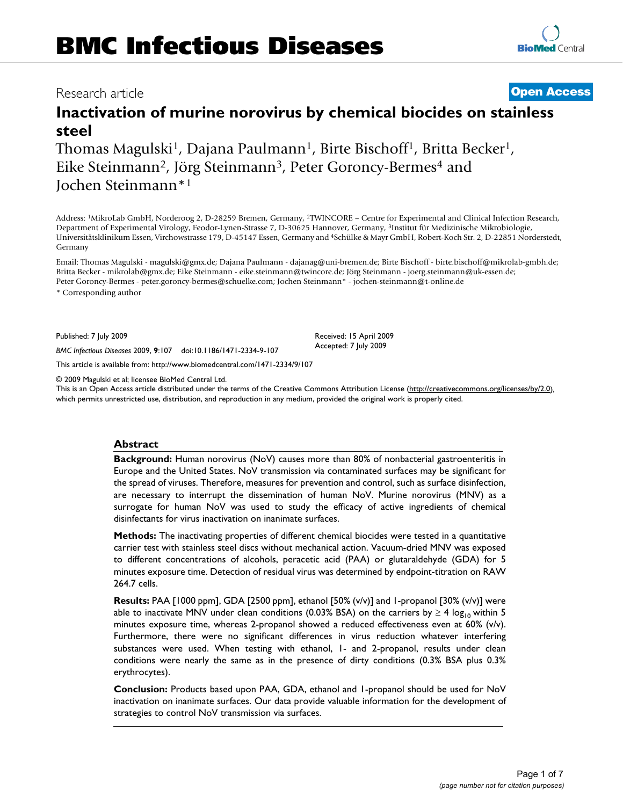# Research article **[Open Access](http://www.biomedcentral.com/info/about/charter/)**

# **Inactivation of murine norovirus by chemical biocides on stainless steel**

Thomas Magulski<sup>1</sup>, Dajana Paulmann<sup>1</sup>, Birte Bischoff<sup>1</sup>, Britta Becker<sup>1</sup>, Eike Steinmann<sup>2</sup>, Jörg Steinmann<sup>3</sup>, Peter Goroncy-Bermes<sup>4</sup> and Jochen Steinmann\*1

Address: 1MikroLab GmbH, Norderoog 2, D-28259 Bremen, Germany, 2TWINCORE – Centre for Experimental and Clinical Infection Research, Department of Experimental Virology, Feodor-Lynen-Strasse 7, D-30625 Hannover, Germany, 3Institut für Medizinische Mikrobiologie, Universitätsklinikum Essen, Virchowstrasse 179, D-45147 Essen, Germany and 4Schülke & Mayr GmbH, Robert-Koch Str. 2, D-22851 Norderstedt, Germany

Email: Thomas Magulski - magulski@gmx.de; Dajana Paulmann - dajanag@uni-bremen.de; Birte Bischoff - birte.bischoff@mikrolab-gmbh.de; Britta Becker - mikrolab@gmx.de; Eike Steinmann - eike.steinmann@twincore.de; Jörg Steinmann - joerg.steinmann@uk-essen.de; Peter Goroncy-Bermes - peter.goroncy-bermes@schuelke.com; Jochen Steinmann\* - jochen-steinmann@t-online.de \* Corresponding author

Published: 7 July 2009

*BMC Infectious Diseases* 2009, **9**:107 doi:10.1186/1471-2334-9-107

[This article is available from: http://www.biomedcentral.com/1471-2334/9/107](http://www.biomedcentral.com/1471-2334/9/107)

© 2009 Magulski et al; licensee BioMed Central Ltd.

This is an Open Access article distributed under the terms of the Creative Commons Attribution License [\(http://creativecommons.org/licenses/by/2.0\)](http://creativecommons.org/licenses/by/2.0), which permits unrestricted use, distribution, and reproduction in any medium, provided the original work is properly cited.

#### **Abstract**

**Background:** Human norovirus (NoV) causes more than 80% of nonbacterial gastroenteritis in Europe and the United States. NoV transmission via contaminated surfaces may be significant for the spread of viruses. Therefore, measures for prevention and control, such as surface disinfection, are necessary to interrupt the dissemination of human NoV. Murine norovirus (MNV) as a surrogate for human NoV was used to study the efficacy of active ingredients of chemical disinfectants for virus inactivation on inanimate surfaces.

**Methods:** The inactivating properties of different chemical biocides were tested in a quantitative carrier test with stainless steel discs without mechanical action. Vacuum-dried MNV was exposed to different concentrations of alcohols, peracetic acid (PAA) or glutaraldehyde (GDA) for 5 minutes exposure time. Detection of residual virus was determined by endpoint-titration on RAW 264.7 cells.

**Results:** PAA [1000 ppm], GDA [2500 ppm], ethanol [50% (v/v)] and 1-propanol [30% (v/v)] were able to inactivate MNV under clean conditions (0.03% BSA) on the carriers by  $\geq 4 \log_{10}$  within 5 minutes exposure time, whereas 2-propanol showed a reduced effectiveness even at 60% (v/v). Furthermore, there were no significant differences in virus reduction whatever interfering substances were used. When testing with ethanol, 1- and 2-propanol, results under clean conditions were nearly the same as in the presence of dirty conditions (0.3% BSA plus 0.3% erythrocytes).

**Conclusion:** Products based upon PAA, GDA, ethanol and 1-propanol should be used for NoV inactivation on inanimate surfaces. Our data provide valuable information for the development of strategies to control NoV transmission via surfaces.

Received: 15 April 2009 Accepted: 7 July 2009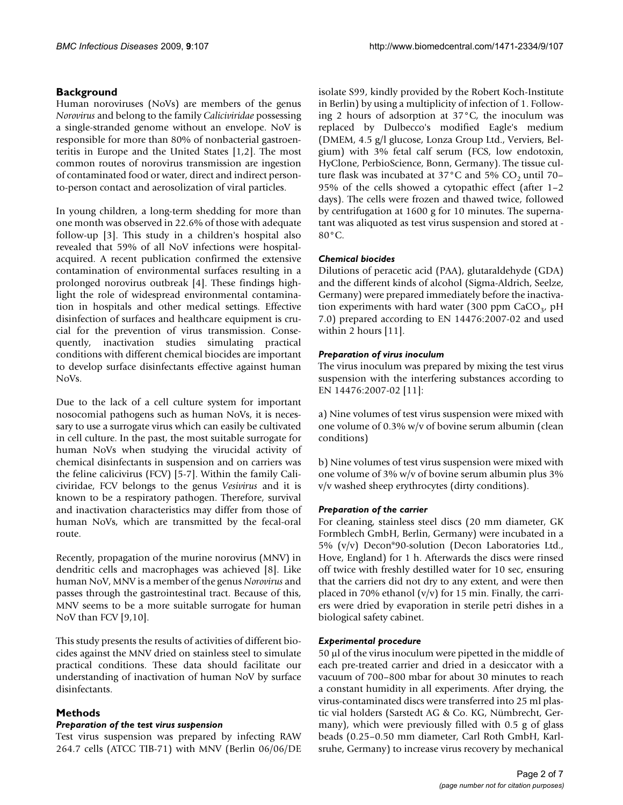# **Background**

Human noroviruses (NoVs) are members of the genus *Norovirus* and belong to the family *Caliciviridae* possessing a single-stranded genome without an envelope. NoV is responsible for more than 80% of nonbacterial gastroenteritis in Europe and the United States [1,2]. The most common routes of norovirus transmission are ingestion of contaminated food or water, direct and indirect personto-person contact and aerosolization of viral particles.

In young children, a long-term shedding for more than one month was observed in 22.6% of those with adequate follow-up [3]. This study in a children's hospital also revealed that 59% of all NoV infections were hospitalacquired. A recent publication confirmed the extensive contamination of environmental surfaces resulting in a prolonged norovirus outbreak [4]. These findings highlight the role of widespread environmental contamination in hospitals and other medical settings. Effective disinfection of surfaces and healthcare equipment is crucial for the prevention of virus transmission. Consequently, inactivation studies simulating practical conditions with different chemical biocides are important to develop surface disinfectants effective against human NoVs.

Due to the lack of a cell culture system for important nosocomial pathogens such as human NoVs, it is necessary to use a surrogate virus which can easily be cultivated in cell culture. In the past, the most suitable surrogate for human NoVs when studying the virucidal activity of chemical disinfectants in suspension and on carriers was the feline calicivirus (FCV) [5-7]. Within the family Caliciviridae, FCV belongs to the genus *Vesivirus* and it is known to be a respiratory pathogen. Therefore, survival and inactivation characteristics may differ from those of human NoVs, which are transmitted by the fecal-oral route.

Recently, propagation of the murine norovirus (MNV) in dendritic cells and macrophages was achieved [8]. Like human NoV, MNV is a member of the genus *Norovirus* and passes through the gastrointestinal tract. Because of this, MNV seems to be a more suitable surrogate for human NoV than FCV [9,10].

This study presents the results of activities of different biocides against the MNV dried on stainless steel to simulate practical conditions. These data should facilitate our understanding of inactivation of human NoV by surface disinfectants.

## **Methods**

## *Preparation of the test virus suspension*

Test virus suspension was prepared by infecting RAW 264.7 cells (ATCC TIB-71) with MNV (Berlin 06/06/DE isolate S99, kindly provided by the Robert Koch-Institute in Berlin) by using a multiplicity of infection of 1. Following 2 hours of adsorption at 37°C, the inoculum was replaced by Dulbecco's modified Eagle's medium (DMEM, 4.5 g/l glucose, Lonza Group Ltd., Verviers, Belgium) with 3% fetal calf serum (FCS, low endotoxin, HyClone, PerbioScience, Bonn, Germany). The tissue culture flask was incubated at  $37^{\circ}$ C and  $5\%$  CO<sub>2</sub> until 70– 95% of the cells showed a cytopathic effect (after 1–2 days). The cells were frozen and thawed twice, followed by centrifugation at 1600 g for 10 minutes. The supernatant was aliquoted as test virus suspension and stored at -  $80^{\circ}$ C.

## *Chemical biocides*

Dilutions of peracetic acid (PAA), glutaraldehyde (GDA) and the different kinds of alcohol (Sigma-Aldrich, Seelze, Germany) were prepared immediately before the inactivation experiments with hard water (300 ppm  $CaCO<sub>3</sub>$ , pH 7.0) prepared according to EN 14476:2007-02 and used within 2 hours [11].

## *Preparation of virus inoculum*

The virus inoculum was prepared by mixing the test virus suspension with the interfering substances according to EN 14476:2007-02 [11]:

a) Nine volumes of test virus suspension were mixed with one volume of 0.3% w/v of bovine serum albumin (clean conditions)

b) Nine volumes of test virus suspension were mixed with one volume of 3% w/v of bovine serum albumin plus 3% v/v washed sheep erythrocytes (dirty conditions).

## *Preparation of the carrier*

For cleaning, stainless steel discs (20 mm diameter, GK Formblech GmbH, Berlin, Germany) were incubated in a 5% (v/v) Decon®90-solution (Decon Laboratories Ltd., Hove, England) for 1 h. Afterwards the discs were rinsed off twice with freshly destilled water for 10 sec, ensuring that the carriers did not dry to any extent, and were then placed in 70% ethanol ( $v/v$ ) for 15 min. Finally, the carriers were dried by evaporation in sterile petri dishes in a biological safety cabinet.

## *Experimental procedure*

50 μl of the virus inoculum were pipetted in the middle of each pre-treated carrier and dried in a desiccator with a vacuum of 700–800 mbar for about 30 minutes to reach a constant humidity in all experiments. After drying, the virus-contaminated discs were transferred into 25 ml plastic vial holders (Sarstedt AG & Co. KG, Nümbrecht, Germany), which were previously filled with 0.5 g of glass beads (0.25–0.50 mm diameter, Carl Roth GmbH, Karlsruhe, Germany) to increase virus recovery by mechanical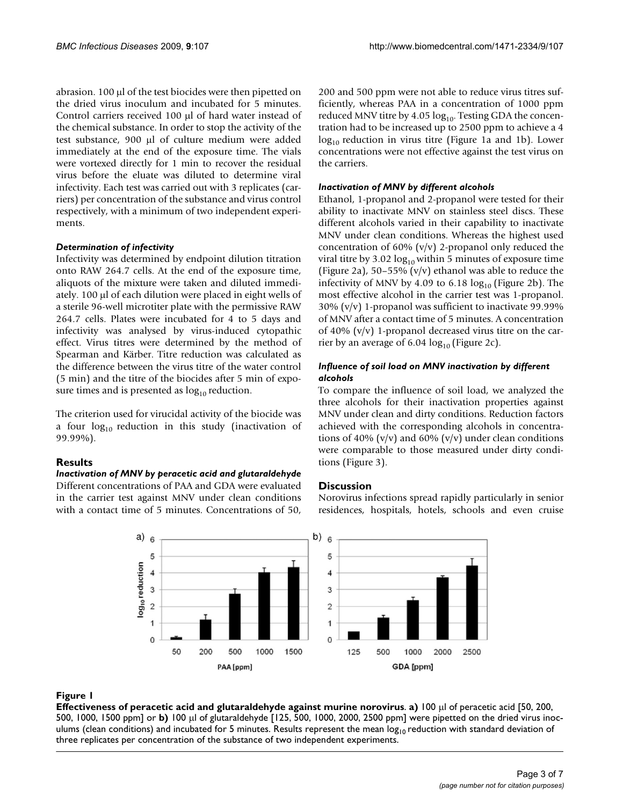abrasion. 100 μl of the test biocides were then pipetted on the dried virus inoculum and incubated for 5 minutes. Control carriers received 100 μl of hard water instead of the chemical substance. In order to stop the activity of the test substance, 900 μl of culture medium were added immediately at the end of the exposure time. The vials were vortexed directly for 1 min to recover the residual virus before the eluate was diluted to determine viral infectivity. Each test was carried out with 3 replicates (carriers) per concentration of the substance and virus control respectively, with a minimum of two independent experiments.

#### *Determination of infectivity*

Infectivity was determined by endpoint dilution titration onto RAW 264.7 cells. At the end of the exposure time, aliquots of the mixture were taken and diluted immediately. 100 μl of each dilution were placed in eight wells of a sterile 96-well microtiter plate with the permissive RAW 264.7 cells. Plates were incubated for 4 to 5 days and infectivity was analysed by virus-induced cytopathic effect. Virus titres were determined by the method of Spearman and Kärber. Titre reduction was calculated as the difference between the virus titre of the water control (5 min) and the titre of the biocides after 5 min of exposure times and is presented as  $log_{10}$  reduction.

The criterion used for virucidal activity of the biocide was a four  $log_{10}$  reduction in this study (inactivation of 99.99%).

## **Results**

## *Inactivation of MNV by peracetic acid and glutaraldehyde*

Different concentrations of PAA and GDA were evaluated in the carrier test against MNV under clean conditions with a contact time of 5 minutes. Concentrations of 50,

200 and 500 ppm were not able to reduce virus titres sufficiently, whereas PAA in a concentration of 1000 ppm reduced MNV titre by  $4.05 \log_{10}$ . Testing GDA the concentration had to be increased up to 2500 ppm to achieve a 4  $log<sub>10</sub>$  reduction in virus titre (Figure 1a and 1b). Lower concentrations were not effective against the test virus on the carriers.

# *Inactivation of MNV by different alcohols*

Ethanol, 1-propanol and 2-propanol were tested for their ability to inactivate MNV on stainless steel discs. These different alcohols varied in their capability to inactivate MNV under clean conditions. Whereas the highest used concentration of 60% (v/v) 2-propanol only reduced the viral titre by 3.02  $log_{10}$  within 5 minutes of exposure time (Figure 2a), 50-55% (v/v) ethanol was able to reduce the infectivity of MNV by 4.09 to  $6.18 \log_{10}$  (Figure 2b). The most effective alcohol in the carrier test was 1-propanol. 30% (v/v) 1-propanol was sufficient to inactivate 99.99% of MNV after a contact time of 5 minutes. A concentration of 40%  $(v/v)$  1-propanol decreased virus titre on the carrier by an average of 6.04  $log_{10}$  (Figure 2c).

# *Influence of soil load on MNV inactivation by different alcohols*

To compare the influence of soil load, we analyzed the three alcohols for their inactivation properties against MNV under clean and dirty conditions. Reduction factors achieved with the corresponding alcohols in concentrations of 40% ( $v/v$ ) and 60% ( $v/v$ ) under clean conditions were comparable to those measured under dirty conditions (Figure 3).

## **Discussion**

Norovirus infections spread rapidly particularly in senior residences, hospitals, hotels, schools and even cruise



## Figure 1

**Effectiveness of peracetic acid and glutaraldehyde against murine norovirus**. **a)** 100 μl of peracetic acid [50, 200, 500, 1000, 1500 ppm] or **b)** 100 μl of glutaraldehyde [125, 500, 1000, 2000, 2500 ppm] were pipetted on the dried virus inoculums (clean conditions) and incubated for 5 minutes. Results represent the mean  $log_{10}$  reduction with standard deviation of three replicates per concentration of the substance of two independent experiments.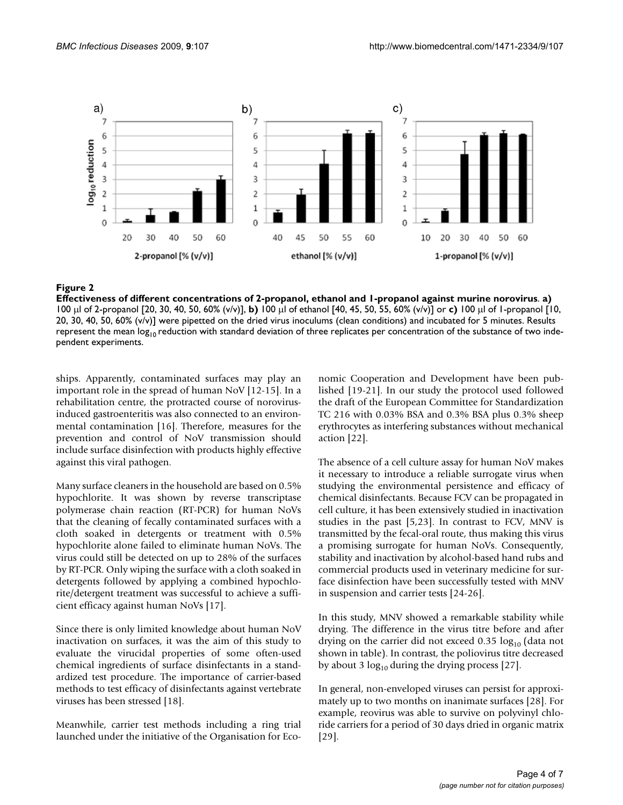

## Effectiveness of different concentrat **Figure 2** ions of 2-propanol, ethanol and 1-propanol against murine norovirus

**Effectiveness of different concentrations of 2-propanol, ethanol and 1-propanol against murine norovirus**. **a)**  100 μl of 2-propanol [20, 30, 40, 50, 60% (v/v)], **b)** 100 μl of ethanol [40, 45, 50, 55, 60% (v/v)] or **c)** 100 μl of 1-propanol [10, 20, 30, 40, 50, 60% (v/v)] were pipetted on the dried virus inoculums (clean conditions) and incubated for 5 minutes. Results represent the mean  $log_{10}$  reduction with standard deviation of three replicates per concentration of the substance of two independent experiments.

ships. Apparently, contaminated surfaces may play an important role in the spread of human NoV [12-15]. In a rehabilitation centre, the protracted course of norovirusinduced gastroenteritis was also connected to an environmental contamination [16]. Therefore, measures for the prevention and control of NoV transmission should include surface disinfection with products highly effective against this viral pathogen.

Many surface cleaners in the household are based on 0.5% hypochlorite. It was shown by reverse transcriptase polymerase chain reaction (RT-PCR) for human NoVs that the cleaning of fecally contaminated surfaces with a cloth soaked in detergents or treatment with 0.5% hypochlorite alone failed to eliminate human NoVs. The virus could still be detected on up to 28% of the surfaces by RT-PCR. Only wiping the surface with a cloth soaked in detergents followed by applying a combined hypochlorite/detergent treatment was successful to achieve a sufficient efficacy against human NoVs [17].

Since there is only limited knowledge about human NoV inactivation on surfaces, it was the aim of this study to evaluate the virucidal properties of some often-used chemical ingredients of surface disinfectants in a standardized test procedure. The importance of carrier-based methods to test efficacy of disinfectants against vertebrate viruses has been stressed [18].

Meanwhile, carrier test methods including a ring trial launched under the initiative of the Organisation for Economic Cooperation and Development have been published [19-21]. In our study the protocol used followed the draft of the European Committee for Standardization TC 216 with 0.03% BSA and 0.3% BSA plus 0.3% sheep erythrocytes as interfering substances without mechanical action [22].

The absence of a cell culture assay for human NoV makes it necessary to introduce a reliable surrogate virus when studying the environmental persistence and efficacy of chemical disinfectants. Because FCV can be propagated in cell culture, it has been extensively studied in inactivation studies in the past [5,23]. In contrast to FCV, MNV is transmitted by the fecal-oral route, thus making this virus a promising surrogate for human NoVs. Consequently, stability and inactivation by alcohol-based hand rubs and commercial products used in veterinary medicine for surface disinfection have been successfully tested with MNV in suspension and carrier tests [24-26].

In this study, MNV showed a remarkable stability while drying. The difference in the virus titre before and after drying on the carrier did not exceed 0.35  $log_{10}$  (data not shown in table). In contrast, the poliovirus titre decreased by about 3  $log_{10}$  during the drying process [27].

In general, non-enveloped viruses can persist for approximately up to two months on inanimate surfaces [28]. For example, reovirus was able to survive on polyvinyl chloride carriers for a period of 30 days dried in organic matrix [29].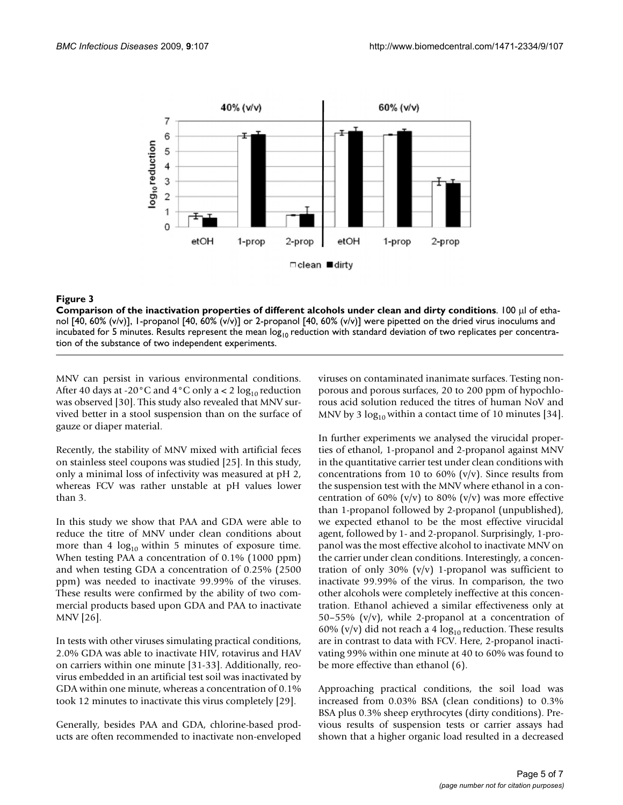

# **Figure 3** Comparison of the inactivation properties of different alcohols under clean and dirty conditions

**Comparison of the inactivation properties of different alcohols under clean and dirty conditions**. 100 μl of ethanol [40, 60% (v/v)], 1-propanol [40, 60% (v/v)] or 2-propanol [40, 60% (v/v)] were pipetted on the dried virus inoculums and incubated for 5 minutes. Results represent the mean  $log_{10}$  reduction with standard deviation of two replicates per concentration of the substance of two independent experiments.

MNV can persist in various environmental conditions. After 40 days at -20 $^{\circ}$ C and 4 $^{\circ}$ C only a < 2 log<sub>10</sub> reduction was observed [30]. This study also revealed that MNV survived better in a stool suspension than on the surface of gauze or diaper material.

Recently, the stability of MNV mixed with artificial feces on stainless steel coupons was studied [25]. In this study, only a minimal loss of infectivity was measured at pH 2, whereas FCV was rather unstable at pH values lower than 3.

In this study we show that PAA and GDA were able to reduce the titre of MNV under clean conditions about more than 4  $log_{10}$  within 5 minutes of exposure time. When testing PAA a concentration of 0.1% (1000 ppm) and when testing GDA a concentration of 0.25% (2500 ppm) was needed to inactivate 99.99% of the viruses. These results were confirmed by the ability of two commercial products based upon GDA and PAA to inactivate MNV [26].

In tests with other viruses simulating practical conditions, 2.0% GDA was able to inactivate HIV, rotavirus and HAV on carriers within one minute [31-33]. Additionally, reovirus embedded in an artificial test soil was inactivated by GDA within one minute, whereas a concentration of 0.1% took 12 minutes to inactivate this virus completely [29].

Generally, besides PAA and GDA, chlorine-based products are often recommended to inactivate non-enveloped viruses on contaminated inanimate surfaces. Testing nonporous and porous surfaces, 20 to 200 ppm of hypochlorous acid solution reduced the titres of human NoV and MNV by 3  $log_{10}$  within a contact time of 10 minutes [34].

In further experiments we analysed the virucidal properties of ethanol, 1-propanol and 2-propanol against MNV in the quantitative carrier test under clean conditions with concentrations from 10 to 60%  $(v/v)$ . Since results from the suspension test with the MNV where ethanol in a concentration of 60% (v/v) to 80% (v/v) was more effective than 1-propanol followed by 2-propanol (unpublished), we expected ethanol to be the most effective virucidal agent, followed by 1- and 2-propanol. Surprisingly, 1-propanol was the most effective alcohol to inactivate MNV on the carrier under clean conditions. Interestingly, a concentration of only 30%  $(v/v)$  1-propanol was sufficient to inactivate 99.99% of the virus. In comparison, the two other alcohols were completely ineffective at this concentration. Ethanol achieved a similar effectiveness only at 50–55% (v/v), while 2-propanol at a concentration of 60% (v/v) did not reach a 4  $log_{10}$  reduction. These results are in contrast to data with FCV. Here, 2-propanol inactivating 99% within one minute at 40 to 60% was found to be more effective than ethanol (6).

Approaching practical conditions, the soil load was increased from 0.03% BSA (clean conditions) to 0.3% BSA plus 0.3% sheep erythrocytes (dirty conditions). Previous results of suspension tests or carrier assays had shown that a higher organic load resulted in a decreased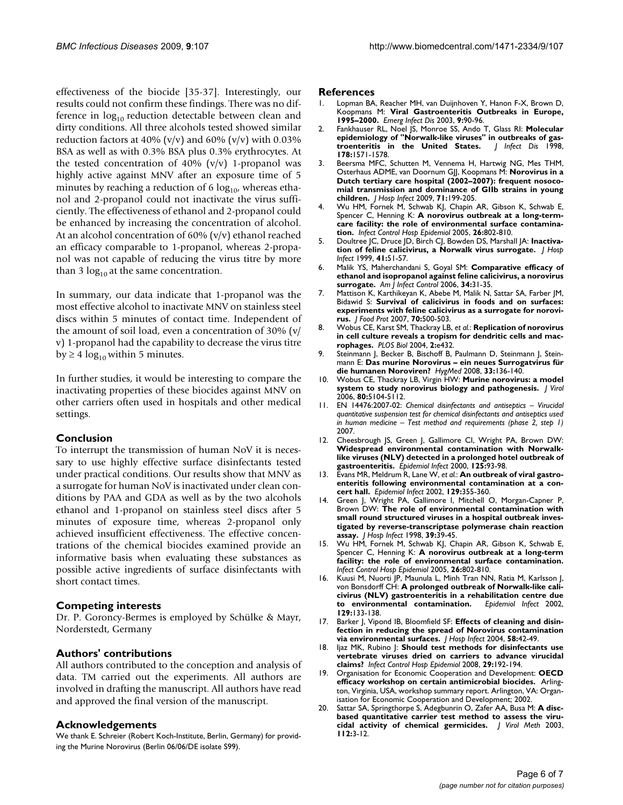effectiveness of the biocide [35-37]. Interestingly, our results could not confirm these findings. There was no difference in  $log_{10}$  reduction detectable between clean and dirty conditions. All three alcohols tested showed similar reduction factors at 40% (v/v) and 60% (v/v) with 0.03% BSA as well as with 0.3% BSA plus 0.3% erythrocytes. At the tested concentration of 40%  $(v/v)$  1-propanol was highly active against MNV after an exposure time of 5 minutes by reaching a reduction of 6  $log_{10}$ , whereas ethanol and 2-propanol could not inactivate the virus sufficiently. The effectiveness of ethanol and 2-propanol could be enhanced by increasing the concentration of alcohol. At an alcohol concentration of 60% (v/v) ethanol reached an efficacy comparable to 1-propanol, whereas 2-propanol was not capable of reducing the virus titre by more than 3  $log_{10}$  at the same concentration.

In summary, our data indicate that 1-propanol was the most effective alcohol to inactivate MNV on stainless steel discs within 5 minutes of contact time. Independent of the amount of soil load, even a concentration of 30% (v/ v) 1-propanol had the capability to decrease the virus titre by  $\geq 4 \log_{10}$  within 5 minutes.

In further studies, it would be interesting to compare the inactivating properties of these biocides against MNV on other carriers often used in hospitals and other medical settings.

#### **Conclusion**

To interrupt the transmission of human NoV it is necessary to use highly effective surface disinfectants tested under practical conditions. Our results show that MNV as a surrogate for human NoV is inactivated under clean conditions by PAA and GDA as well as by the two alcohols ethanol and 1-propanol on stainless steel discs after 5 minutes of exposure time, whereas 2-propanol only achieved insufficient effectiveness. The effective concentrations of the chemical biocides examined provide an informative basis when evaluating these substances as possible active ingredients of surface disinfectants with short contact times.

#### **Competing interests**

Dr. P. Goroncy-Bermes is employed by Schülke & Mayr, Norderstedt, Germany

## **Authors' contributions**

All authors contributed to the conception and analysis of data. TM carried out the experiments. All authors are involved in drafting the manuscript. All authors have read and approved the final version of the manuscript.

#### **Acknowledgements**

We thank E. Schreier (Robert Koch-Institute, Berlin, Germany) for providing the Murine Norovirus (Berlin 06/06/DE isolate S99).

#### **References**

- 1. Lopman BA, Reacher MH, van Duijnhoven Y, Hanon F-X, Brown D, Koopmans M: **[Viral Gastroenteritis Outbreaks in Europe,](http://www.ncbi.nlm.nih.gov/entrez/query.fcgi?cmd=Retrieve&db=PubMed&dopt=Abstract&list_uids=12533287) [1995–2000.](http://www.ncbi.nlm.nih.gov/entrez/query.fcgi?cmd=Retrieve&db=PubMed&dopt=Abstract&list_uids=12533287)** *Emerg Infect Dis* 2003, **9:**90-96.
- 2. Fankhauser RL, Noel JS, Monroe SS, Ando T, Glass RI: **[Molecular](http://www.ncbi.nlm.nih.gov/entrez/query.fcgi?cmd=Retrieve&db=PubMed&dopt=Abstract&list_uids=9815206)** epidemiology of "Norwalk-like viruses" in outbreaks of gas-<br>troenteritis in the United States. | Infect Dis 1998, **troenteritis** in the United States. **178:**1571-1578.
- Beersma MFC, Schutten M, Vennema H, Hartwig NG, Mes THM, Osterhaus ADME, van Doornum GJJ, Koopmans M: **[Norovirus in a](http://www.ncbi.nlm.nih.gov/entrez/query.fcgi?cmd=Retrieve&db=PubMed&dopt=Abstract&list_uids=19147255) [Dutch tertiary care hospital \(2002–2007\): frequent nosoco](http://www.ncbi.nlm.nih.gov/entrez/query.fcgi?cmd=Retrieve&db=PubMed&dopt=Abstract&list_uids=19147255)mial transmission and dominance of GIIb strains in young [children.](http://www.ncbi.nlm.nih.gov/entrez/query.fcgi?cmd=Retrieve&db=PubMed&dopt=Abstract&list_uids=19147255)** *J Hosp Infect* 2009, **71:**199-205.
- 4. Wu HM, Fornek M, Schwab KJ, Chapin AR, Gibson K, Schwab E, Spencer C, Henning K: **[A norovirus outbreak at a long-term](http://www.ncbi.nlm.nih.gov/entrez/query.fcgi?cmd=Retrieve&db=PubMed&dopt=Abstract&list_uids=16276954)[care facility: the role of environmental surface contamina](http://www.ncbi.nlm.nih.gov/entrez/query.fcgi?cmd=Retrieve&db=PubMed&dopt=Abstract&list_uids=16276954)[tion.](http://www.ncbi.nlm.nih.gov/entrez/query.fcgi?cmd=Retrieve&db=PubMed&dopt=Abstract&list_uids=16276954)** *Infect Control Hosp Epidemiol* 2005, **26:**802-810.
- 5. Doultree JC, Druce JD, Birch CJ, Bowden DS, Marshall JA: **[Inactiva](http://www.ncbi.nlm.nih.gov/entrez/query.fcgi?cmd=Retrieve&db=PubMed&dopt=Abstract&list_uids=9949965)[tion of feline calicivirus, a Norwalk virus surrogate.](http://www.ncbi.nlm.nih.gov/entrez/query.fcgi?cmd=Retrieve&db=PubMed&dopt=Abstract&list_uids=9949965)** *J Hosp Infect* 1999, **41:**51-57.
- 6. Malik YS, Maherchandani S, Goyal SM: **[Comparative efficacy of](http://www.ncbi.nlm.nih.gov/entrez/query.fcgi?cmd=Retrieve&db=PubMed&dopt=Abstract&list_uids=16443090) [ethanol and isopropanol against feline calicivirus, a norovirus](http://www.ncbi.nlm.nih.gov/entrez/query.fcgi?cmd=Retrieve&db=PubMed&dopt=Abstract&list_uids=16443090) [surrogate.](http://www.ncbi.nlm.nih.gov/entrez/query.fcgi?cmd=Retrieve&db=PubMed&dopt=Abstract&list_uids=16443090)** *Am J Infect Control* 2006, **34:**31-35.
- 7. Mattison K, Karthikeyan K, Abebe M, Malik N, Sattar SA, Farber JM, Bidawid S: **[Survival of calicivirus in foods and on surfaces:](http://www.ncbi.nlm.nih.gov/entrez/query.fcgi?cmd=Retrieve&db=PubMed&dopt=Abstract&list_uids=17340890) [experiments with feline calicivirus as a surrogate for norovi](http://www.ncbi.nlm.nih.gov/entrez/query.fcgi?cmd=Retrieve&db=PubMed&dopt=Abstract&list_uids=17340890)[rus.](http://www.ncbi.nlm.nih.gov/entrez/query.fcgi?cmd=Retrieve&db=PubMed&dopt=Abstract&list_uids=17340890)** *J Food Prot* 2007, **70:**500-503.
- 8. Wobus CE, Karst SM, Thackray LB, *et al.*: **[Replication of norovirus](http://www.ncbi.nlm.nih.gov/entrez/query.fcgi?cmd=Retrieve&db=PubMed&dopt=Abstract&list_uids=15562321) [in cell culture reveals a tropism for dendritic cells and mac](http://www.ncbi.nlm.nih.gov/entrez/query.fcgi?cmd=Retrieve&db=PubMed&dopt=Abstract&list_uids=15562321)[rophages.](http://www.ncbi.nlm.nih.gov/entrez/query.fcgi?cmd=Retrieve&db=PubMed&dopt=Abstract&list_uids=15562321)** *PLOS Biol* 2004, **2:**e432.
- 9. Steinmann J, Becker B, Bischoff B, Paulmann D, Steinmann J, Steinmann E: **Das murine Norovirus – ein neues Surrogatvirus für die humanen Noroviren?** *HygMed* 2008, **33:**136-140.
- 10. Wobus CE, Thackray LB, Virgin HW: **[Murine norovirus: a model](http://www.ncbi.nlm.nih.gov/entrez/query.fcgi?cmd=Retrieve&db=PubMed&dopt=Abstract&list_uids=16698991) [system to study norovirus biology and pathogenesis.](http://www.ncbi.nlm.nih.gov/entrez/query.fcgi?cmd=Retrieve&db=PubMed&dopt=Abstract&list_uids=16698991)** *J Virol* 2006, **80:**5104-5112.
- 11. EN 14476:2007-02: *Chemical disinfectants and antiseptics Virucidal quantitative suspension test for chemical disinfectants and antiseptics used in human medicine – Test method and requirements (phase 2, step 1)* 2007.
- 12. Cheesbrough JS, Green J, Gallimore CI, Wright PA, Brown DW: **[Widespread environmental contamination with Norwalk](http://www.ncbi.nlm.nih.gov/entrez/query.fcgi?cmd=Retrieve&db=PubMed&dopt=Abstract&list_uids=11057964)like viruses (NLV) detected in a prolonged hotel outbreak of [gastroenteritis.](http://www.ncbi.nlm.nih.gov/entrez/query.fcgi?cmd=Retrieve&db=PubMed&dopt=Abstract&list_uids=11057964)** *Epidemiol Infect* 2000, **125:**93-98.
- 13. Evans MR, Meldrum R, Lane W, *et al.*: **[An outbreak of viral gastro](http://www.ncbi.nlm.nih.gov/entrez/query.fcgi?cmd=Retrieve&db=PubMed&dopt=Abstract&list_uids=12403111)[enteritis following environmental contamination at a con](http://www.ncbi.nlm.nih.gov/entrez/query.fcgi?cmd=Retrieve&db=PubMed&dopt=Abstract&list_uids=12403111)[cert hall.](http://www.ncbi.nlm.nih.gov/entrez/query.fcgi?cmd=Retrieve&db=PubMed&dopt=Abstract&list_uids=12403111)** *Epidemiol Infect* 2002, **129:**355-360.
- 14. Green J, Wright PA, Gallimore I, Mitchell O, Morgan-Capner P, Brown DW: **[The role of environmental contamination with](http://www.ncbi.nlm.nih.gov/entrez/query.fcgi?cmd=Retrieve&db=PubMed&dopt=Abstract&list_uids=9617683) [small round structured viruses in a hospital outbreak inves](http://www.ncbi.nlm.nih.gov/entrez/query.fcgi?cmd=Retrieve&db=PubMed&dopt=Abstract&list_uids=9617683)tigated by reverse-transcriptase polymerase chain reaction [assay.](http://www.ncbi.nlm.nih.gov/entrez/query.fcgi?cmd=Retrieve&db=PubMed&dopt=Abstract&list_uids=9617683)** *J Hosp Infect* 1998, **39:**39-45.
- 15. Wu HM, Fornek M, Schwab KJ, Chapin AR, Gibson K, Schwab E, Spencer C, Henning K: **[A norovirus outbreak at a long-term](http://www.ncbi.nlm.nih.gov/entrez/query.fcgi?cmd=Retrieve&db=PubMed&dopt=Abstract&list_uids=16276954) [facility: the role of environmental surface contamination.](http://www.ncbi.nlm.nih.gov/entrez/query.fcgi?cmd=Retrieve&db=PubMed&dopt=Abstract&list_uids=16276954)** *Infect Control Hosp Epidemiol* 2005, **26:**802-810.
- 16. Kuusi M, Nuorti JP, Maunula L, Minh Tran NN, Ratia M, Karlsson J, von Bonsdorff CH: **[A prolonged outbreak of Norwalk-like cali](http://www.ncbi.nlm.nih.gov/entrez/query.fcgi?cmd=Retrieve&db=PubMed&dopt=Abstract&list_uids=12211580)[civirus \(NLV\) gastroenteritis in a rehabilitation centre due](http://www.ncbi.nlm.nih.gov/entrez/query.fcgi?cmd=Retrieve&db=PubMed&dopt=Abstract&list_uids=12211580) [to environmental contamination.](http://www.ncbi.nlm.nih.gov/entrez/query.fcgi?cmd=Retrieve&db=PubMed&dopt=Abstract&list_uids=12211580)** *Epidemiol Infect* 2002, **129:**133-138.
- 17. Barker J, Vipond IB, Bloomfield SF: **[Effects of cleaning and disin](http://www.ncbi.nlm.nih.gov/entrez/query.fcgi?cmd=Retrieve&db=PubMed&dopt=Abstract&list_uids=15350713)[fection in reducing the spread of Norovirus contamination](http://www.ncbi.nlm.nih.gov/entrez/query.fcgi?cmd=Retrieve&db=PubMed&dopt=Abstract&list_uids=15350713) [via environmental surfaces.](http://www.ncbi.nlm.nih.gov/entrez/query.fcgi?cmd=Retrieve&db=PubMed&dopt=Abstract&list_uids=15350713)** *J Hosp Infect* 2004, **58:**42-49.
- 18. Ijaz MK, Rubino J: **[Should test methods for disinfectants use](http://www.ncbi.nlm.nih.gov/entrez/query.fcgi?cmd=Retrieve&db=PubMed&dopt=Abstract&list_uids=18179381) [vertebrate viruses dried on carriers to advance virucidal](http://www.ncbi.nlm.nih.gov/entrez/query.fcgi?cmd=Retrieve&db=PubMed&dopt=Abstract&list_uids=18179381) [claims?](http://www.ncbi.nlm.nih.gov/entrez/query.fcgi?cmd=Retrieve&db=PubMed&dopt=Abstract&list_uids=18179381)** *Infect Control Hosp Epidemiol* 2008, **29:**192-194.
- 19. Organisation for Economic Cooperation and Development: **OECD efficacy workshop on certain antimicrobial biocides.** Arlington, Virginia, USA, workshop summary report. Arlington, VA: Organisation for Economic Cooperation and Development; 2002.
- 20. Sattar SA, Springthorpe S, Adegbunrin O, Zafer AA, Busa M: **A discbased quantitative carrier test method to assess the virucidal activity of chemical germicides.** *J Virol Meth* 2003, **112:**3-12.